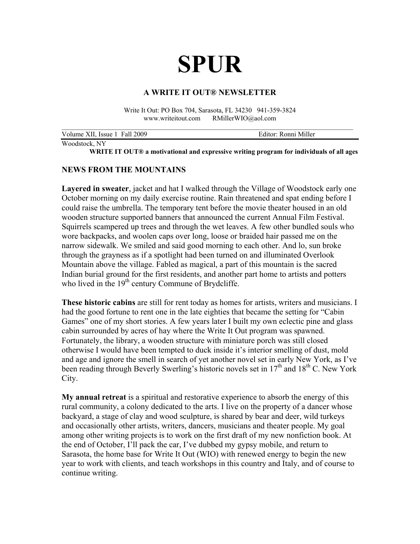# **SPUR**

#### **A WRITE IT OUT® NEWSLETTER**

Write It Out: PO Box 704, Sarasota, FL 34230 941-359-3824 www.writeitout.com RMillerWIO@aol.com

| Volume XII, Issue 1 Fall 2009 | Editor: Ronni Miller |
|-------------------------------|----------------------|
|                               |                      |

Woodstock, NY

**WRITE IT OUT® a motivational and expressive writing program for individuals of all ages** 

# **NEWS FROM THE MOUNTAINS**

**Layered in sweater**, jacket and hat I walked through the Village of Woodstock early one October morning on my daily exercise routine. Rain threatened and spat ending before I could raise the umbrella. The temporary tent before the movie theater housed in an old wooden structure supported banners that announced the current Annual Film Festival. Squirrels scampered up trees and through the wet leaves. A few other bundled souls who wore backpacks, and woolen caps over long, loose or braided hair passed me on the narrow sidewalk. We smiled and said good morning to each other. And lo, sun broke through the grayness as if a spotlight had been turned on and illuminated Overlook Mountain above the village. Fabled as magical, a part of this mountain is the sacred Indian burial ground for the first residents, and another part home to artists and potters who lived in the  $19<sup>th</sup>$  century Commune of Brydcliffe.

**These historic cabins** are still for rent today as homes for artists, writers and musicians. I had the good fortune to rent one in the late eighties that became the setting for "Cabin Games" one of my short stories. A few years later I built my own eclectic pine and glass cabin surrounded by acres of hay where the Write It Out program was spawned. Fortunately, the library, a wooden structure with miniature porch was still closed otherwise I would have been tempted to duck inside it's interior smelling of dust, mold and age and ignore the smell in search of yet another novel set in early New York, as I've been reading through Beverly Swerling's historic novels set in 17<sup>th</sup> and 18<sup>th</sup> C. New York City.

**My annual retreat** is a spiritual and restorative experience to absorb the energy of this rural community, a colony dedicated to the arts. I live on the property of a dancer whose backyard, a stage of clay and wood sculpture, is shared by bear and deer, wild turkeys and occasionally other artists, writers, dancers, musicians and theater people. My goal among other writing projects is to work on the first draft of my new nonfiction book. At the end of October, I'll pack the car, I've dubbed my gypsy mobile, and return to Sarasota, the home base for Write It Out (WIO) with renewed energy to begin the new year to work with clients, and teach workshops in this country and Italy, and of course to continue writing.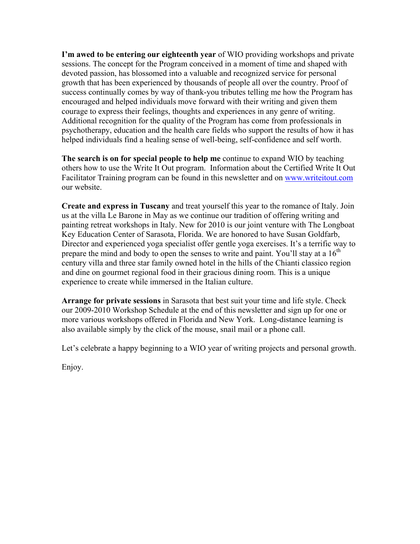**I'm awed to be entering our eighteenth year** of WIO providing workshops and private sessions. The concept for the Program conceived in a moment of time and shaped with devoted passion, has blossomed into a valuable and recognized service for personal growth that has been experienced by thousands of people all over the country. Proof of success continually comes by way of thank-you tributes telling me how the Program has encouraged and helped individuals move forward with their writing and given them courage to express their feelings, thoughts and experiences in any genre of writing. Additional recognition for the quality of the Program has come from professionals in psychotherapy, education and the health care fields who support the results of how it has helped individuals find a healing sense of well-being, self-confidence and self worth.

**The search is on for special people to help me** continue to expand WIO by teaching others how to use the Write It Out program. Information about the Certified Write It Out Facilitator Training program can be found in this newsletter and on [www.writeitout.com](http://www.writeitout.com) our website.

**Create and express in Tuscany** and treat yourself this year to the romance of Italy. Join us at the villa Le Barone in May as we continue our tradition of offering writing and painting retreat workshops in Italy. New for 2010 is our joint venture with The Longboat Key Education Center of Sarasota, Florida. We are honored to have Susan Goldfarb, Director and experienced yoga specialist offer gentle yoga exercises. It's a terrific way to prepare the mind and body to open the senses to write and paint. You'll stay at a  $16<sup>th</sup>$ century villa and three star family owned hotel in the hills of the Chianti classico region and dine on gourmet regional food in their gracious dining room. This is a unique experience to create while immersed in the Italian culture.

**Arrange for private sessions** in Sarasota that best suit your time and life style. Check our 2009-2010 Workshop Schedule at the end of this newsletter and sign up for one or more various workshops offered in Florida and New York. Long-distance learning is also available simply by the click of the mouse, snail mail or a phone call.

Let's celebrate a happy beginning to a WIO year of writing projects and personal growth.

Enjoy.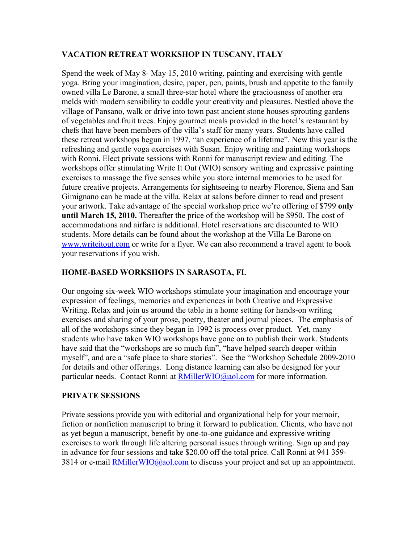# **VACATION RETREAT WORKSHOP IN TUSCANY, ITALY**

Spend the week of May 8- May 15, 2010 writing, painting and exercising with gentle yoga. Bring your imagination, desire, paper, pen, paints, brush and appetite to the family owned villa Le Barone, a small three-star hotel where the graciousness of another era melds with modern sensibility to coddle your creativity and pleasures. Nestled above the village of Pansano, walk or drive into town past ancient stone houses sprouting gardens of vegetables and fruit trees. Enjoy gourmet meals provided in the hotel's restaurant by chefs that have been members of the villa's staff for many years. Students have called these retreat workshops begun in 1997, "an experience of a lifetime". New this year is the refreshing and gentle yoga exercises with Susan. Enjoy writing and painting workshops with Ronni. Elect private sessions with Ronni for manuscript review and editing. The workshops offer stimulating Write It Out (WIO) sensory writing and expressive painting exercises to massage the five senses while you store internal memories to be used for future creative projects. Arrangements for sightseeing to nearby Florence, Siena and San Gimignano can be made at the villa. Relax at salons before dinner to read and present your artwork. Take advantage of the special workshop price we're offering of \$799 **only until March 15, 2010.** Thereafter the price of the workshop will be \$950. The cost of accommodations and airfare is additional. Hotel reservations are discounted to WIO students. More details can be found about the workshop at the Villa Le Barone on [www.writeitout.com](http://www.writeitout.com) or write for a flyer. We can also recommend a travel agent to book your reservations if you wish.

# **HOME-BASED WORKSHOPS IN SARASOTA, FL**

Our ongoing six-week WIO workshops stimulate your imagination and encourage your expression of feelings, memories and experiences in both Creative and Expressive Writing. Relax and join us around the table in a home setting for hands-on writing exercises and sharing of your prose, poetry, theater and journal pieces. The emphasis of all of the workshops since they began in 1992 is process over product. Yet, many students who have taken WIO workshops have gone on to publish their work. Students have said that the "workshops are so much fun", "have helped search deeper within myself", and are a "safe place to share stories". See the "Workshop Schedule 2009-2010 for details and other offerings. Long distance learning can also be designed for your particular needs. Contact Ronni at [RMillerWIO@aol.com](mailto:RMillerWIO@aol.com) for more information.

# **PRIVATE SESSIONS**

Private sessions provide you with editorial and organizational help for your memoir, fiction or nonfiction manuscript to bring it forward to publication. Clients, who have not as yet begun a manuscript, benefit by one-to-one guidance and expressive writing exercises to work through life altering personal issues through writing. Sign up and pay in advance for four sessions and take \$20.00 off the total price. Call Ronni at 941 359- 3814 or e-mail [RMillerWIO@aol.com](mailto:RMillerWIO@aol.com) to discuss your project and set up an appointment.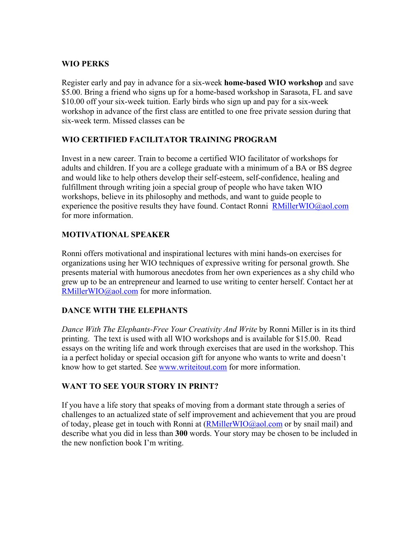# **WIO PERKS**

Register early and pay in advance for a six-week **home-based WIO workshop** and save \$5.00. Bring a friend who signs up for a home-based workshop in Sarasota, FL and save \$10.00 off your six-week tuition. Early birds who sign up and pay for a six-week workshop in advance of the first class are entitled to one free private session during that six-week term. Missed classes can be

# **WIO CERTIFIED FACILITATOR TRAINING PROGRAM**

Invest in a new career. Train to become a certified WIO facilitator of workshops for adults and children. If you are a college graduate with a minimum of a BA or BS degree and would like to help others develop their self-esteem, self-confidence, healing and fulfillment through writing join a special group of people who have taken WIO workshops, believe in its philosophy and methods, and want to guide people to experience the positive results they have found. Contact Ronni  $RMillerWO@aol.com$ for more information.

# **MOTIVATIONAL SPEAKER**

Ronni offers motivational and inspirational lectures with mini hands-on exercises for organizations using her WIO techniques of expressive writing for personal growth. She presents material with humorous anecdotes from her own experiences as a shy child who grew up to be an entrepreneur and learned to use writing to center herself. Contact her at [RMillerWIO@aol.com](mailto:RMillerWIO@aol.com) for more information.

# **DANCE WITH THE ELEPHANTS**

*Dance With The Elephants-Free Your Creativity And Write* by Ronni Miller is in its third printing. The text is used with all WIO workshops and is available for \$15.00. Read essays on the writing life and work through exercises that are used in the workshop. This ia a perfect holiday or special occasion gift for anyone who wants to write and doesn't know how to get started. See [www.writeitout.com](http://www.writeitout.com) for more information.

# **WANT TO SEE YOUR STORY IN PRINT?**

If you have a life story that speaks of moving from a dormant state through a series of challenges to an actualized state of self improvement and achievement that you are proud of today, please get in touch with Ronni at  $(RMillerWO@aol.com$  or by snail mail) and describe what you did in less than **300** words. Your story may be chosen to be included in the new nonfiction book I'm writing.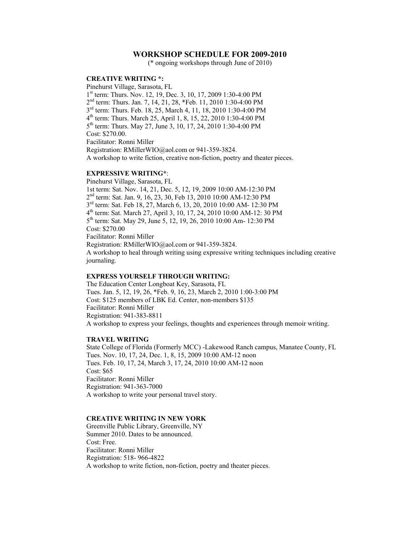#### **WORKSHOP SCHEDULE FOR 2009-2010**

(\* ongoing workshops through June of 2010)

#### **CREATIVE WRITING \*:**

Pinehurst Village, Sarasota, FL 1<sup>st</sup> term: Thurs. Nov. 12, 19, Dec. 3, 10, 17, 2009 1:30-4:00 PM 2nd term: Thurs. Jan. 7, 14, 21, 28, \*Feb. 11, 2010 1:30-4:00 PM 3rd term: Thurs. Feb. 18, 25, March 4, 11, 18, 2010 1:30-4:00 PM 4th term: Thurs. March 25, April 1, 8, 15, 22, 2010 1:30-4:00 PM 5th term: Thurs. May 27, June 3, 10, 17, 24, 2010 1:30-4:00 PM Cost: \$270.00. Facilitator: Ronni Miller Registration: RMillerWIO@aol.com or 941-359-3824. A workshop to write fiction, creative non-fiction, poetry and theater pieces.

#### **EXPRESSIVE WRITING\***:

Pinehurst Village, Sarasota, FL 1st term: Sat. Nov. 14, 21, Dec. 5, 12, 19, 2009 10:00 AM-12:30 PM 2nd term: Sat. Jan. 9, 16, 23, 30, Feb 13, 2010 10:00 AM-12:30 PM 3rd term: Sat. Feb 18, 27, March 6, 13, 20, 2010 10:00 AM- 12:30 PM 4th term: Sat. March 27, April 3, 10, 17, 24, 2010 10:00 AM-12: 30 PM 5th term: Sat. May 29, June 5, 12, 19, 26, 2010 10:00 Am- 12:30 PM Cost: \$270.00 Facilitator: Ronni Miller Registration: RMillerWIO@aol.com or 941-359-3824. A workshop to heal through writing using expressive writing techniques including creative journaling.

#### **EXPRESS YOURSELF THROUGH WRITING:**

The Education Center Longboat Key, Sarasota, FL Tues. Jan. 5, 12, 19, 26, \*Feb. 9, 16, 23, March 2, 2010 1:00-3:00 PM Cost: \$125 members of LBK Ed. Center, non-members \$135 Facilitator: Ronni Miller Registration: 941-383-8811 A workshop to express your feelings, thoughts and experiences through memoir writing.

#### **TRAVEL WRITING**

State College of Florida (Formerly MCC) -Lakewood Ranch campus, Manatee County, FL Tues. Nov. 10, 17, 24, Dec. 1, 8, 15, 2009 10:00 AM-12 noon Tues. Feb. 10, 17, 24, March 3, 17, 24, 2010 10:00 AM-12 noon Cost: \$65 Facilitator: Ronni Miller Registration: 941-363-7000 A workshop to write your personal travel story.

#### **CREATIVE WRITING IN NEW YORK**

Greenville Public Library, Greenville, NY Summer 2010. Dates to be announced. Cost: Free. Facilitator: Ronni Miller Registration: 518- 966-4822 A workshop to write fiction, non-fiction, poetry and theater pieces.